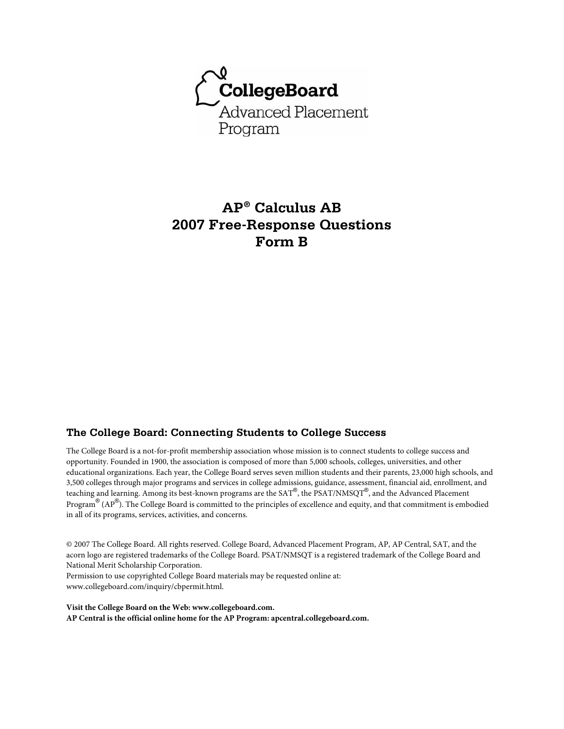

# **AP® Calculus AB 2007 Free-Response Questions Form B**

# **The College Board: Connecting Students to College Success**

The College Board is a not-for-profit membership association whose mission is to connect students to college success and opportunity. Founded in 1900, the association is composed of more than 5,000 schools, colleges, universities, and other educational organizations. Each year, the College Board serves seven million students and their parents, 23,000 high schools, and 3,500 colleges through major programs and services in college admissions, guidance, assessment, financial aid, enrollment, and teaching and learning. Among its best-known programs are the SAT®, the PSAT/NMSQT®, and the Advanced Placement Program® (AP®). The College Board is committed to the principles of excellence and equity, and that commitment is embodied in all of its programs, services, activities, and concerns.

© 2007 The College Board. All rights reserved. College Board, Advanced Placement Program, AP, AP Central, SAT, and the acorn logo are registered trademarks of the College Board. PSAT/NMSQT is a registered trademark of the College Board and National Merit Scholarship Corporation.

Permission to use copyrighted College Board materials may be requested online at: www.collegeboard.com/inquiry/cbpermit.html.

**Visit the College Board on the Web: www.collegeboard.com. AP Central is the official online home for the AP Program: apcentral.collegeboard.com.**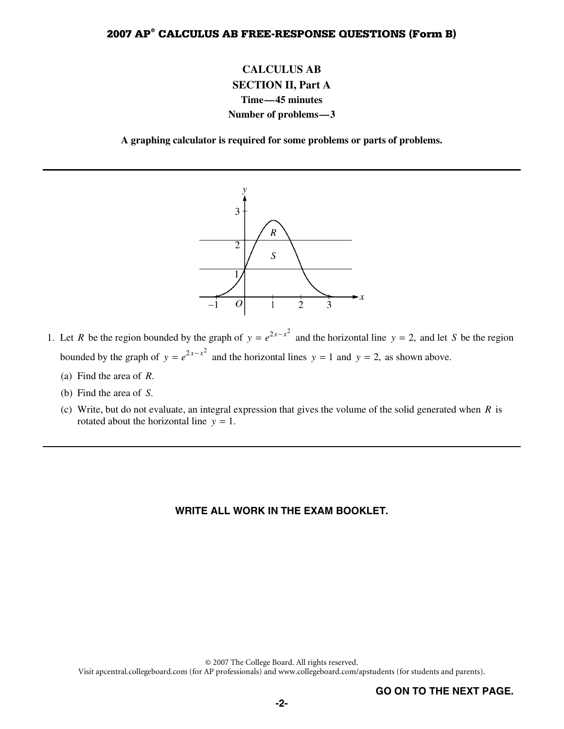# **CALCULUS AB SECTION II, Part A Time—45 minutes Number of problems—3**

**A graphing calculator is required for some problems or parts of problems.** 



- 1. Let *R* be the region bounded by the graph of  $y = e^{2x x^2}$  and the horizontal line  $y = 2$ , and let *S* be the region bounded by the graph of  $y = e^{2x - x^2}$  and the horizontal lines  $y = 1$  and  $y = 2$ , as shown above.
	- (a) Find the area of *R*.
	- (b) Find the area of *S*.
	- (c) Write, but do not evaluate, an integral expression that gives the volume of the solid generated when *R* is rotated about the horizontal line  $y = 1$ .

#### **WRITE ALL WORK IN THE EXAM BOOKLET.**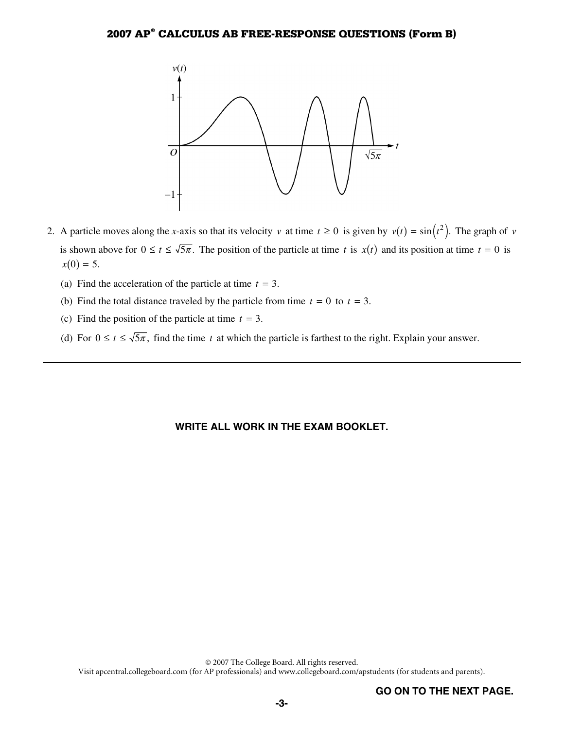

- 2. A particle moves along the *x*-axis so that its velocity *v* at time  $t \ge 0$  is given by  $v(t) = \sin(t^2)$ . The graph of *v* is shown above for  $0 \le t \le \sqrt{5\pi}$ . The position of the particle at time t is  $x(t)$  and its position at time  $t = 0$  is  $x(0) = 5.$ 
	- (a) Find the acceleration of the particle at time  $t = 3$ .
	- (b) Find the total distance traveled by the particle from time  $t = 0$  to  $t = 3$ .
	- (c) Find the position of the particle at time  $t = 3$ .
	- (d) For  $0 \le t \le \sqrt{5\pi}$ , find the time *t* at which the particle is farthest to the right. Explain your answer.

#### **WRITE ALL WORK IN THE EXAM BOOKLET.**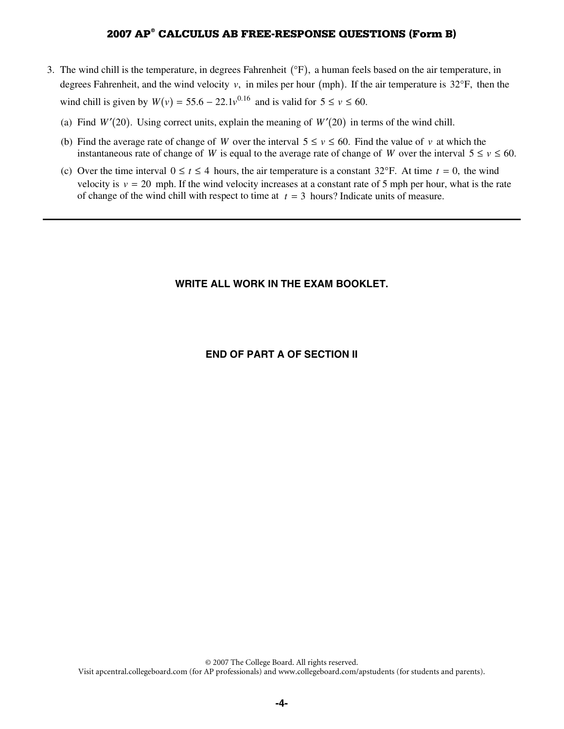- 3. The wind chill is the temperature, in degrees Fahrenheit  $(\mathrm{P})$ , a human feels based on the air temperature, in degrees Fahrenheit, and the wind velocity  $v$ , in miles per hour (mph). If the air temperature is  $32^{\circ}F$ , then the wind chill is given by  $W(v) = 55.6 - 22.1v^{0.16}$  and is valid for  $5 \le v \le 60$ .
	- (a) Find  $W'(20)$ . Using correct units, explain the meaning of  $W'(20)$  in terms of the wind chill.
	- (b) Find the average rate of change of *W* over the interval  $5 \le v \le 60$ . Find the value of *v* at which the instantaneous rate of change of *W* is equal to the average rate of change of *W* over the interval  $5 \le v \le 60$ .
	- (c) Over the time interval  $0 \le t \le 4$  hours, the air temperature is a constant 32°F. At time  $t = 0$ , the wind velocity is  $v = 20$  mph. If the wind velocity increases at a constant rate of 5 mph per hour, what is the rate of change of the wind chill with respect to time at  $t = 3$  hours? Indicate units of measure.

### **WRITE ALL WORK IN THE EXAM BOOKLET.**

#### **END OF PART A OF SECTION II**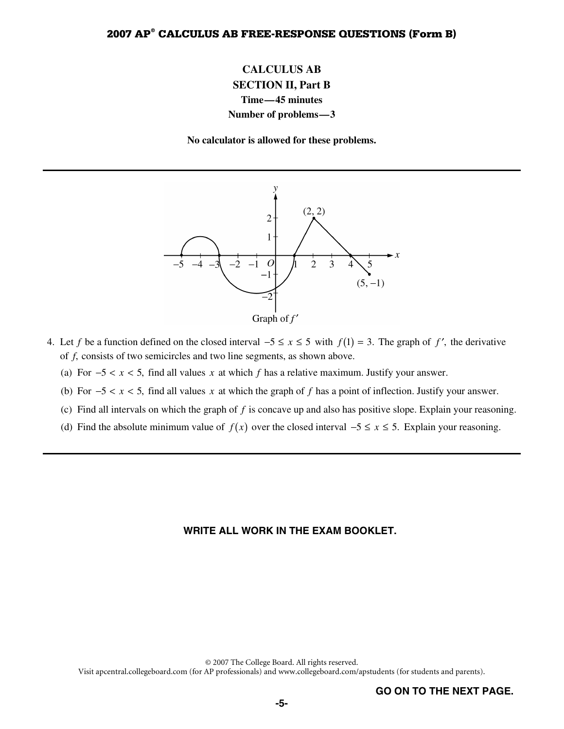# **CALCULUS AB SECTION II, Part B Time—45 minutes Number of problems—3**

**No calculator is allowed for these problems.** 



- 4. Let f be a function defined on the closed interval  $-5 \le x \le 5$  with  $f(1) = 3$ . The graph of f', the derivative of *f*, consists of two semicircles and two line segments, as shown above.
	- (a) For  $-5 < x < 5$ , find all values x at which f has a relative maximum. Justify your answer.
	- (b) For  $-5 < x < 5$ , find all values x at which the graph of f has a point of inflection. Justify your answer.
	- (c) Find all intervals on which the graph of *f* is concave up and also has positive slope. Explain your reasoning.
	- (d) Find the absolute minimum value of  $f(x)$  over the closed interval  $-5 \le x \le 5$ . Explain your reasoning.

#### **WRITE ALL WORK IN THE EXAM BOOKLET.**